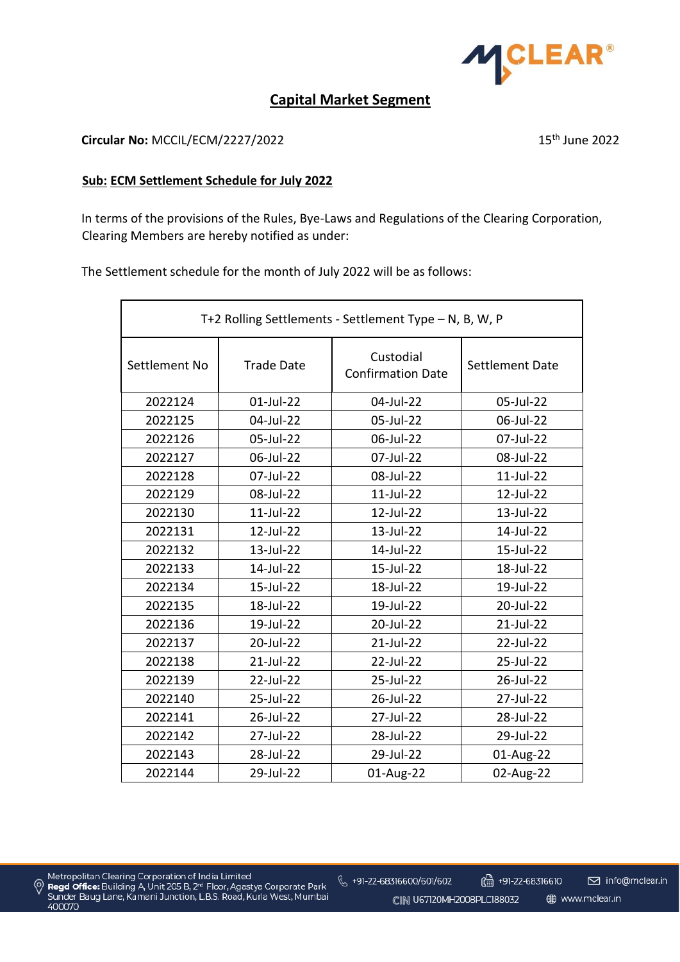

## **Capital Market Segment**

**Circular No:** MCCIL/ECM/2227/2022 15<sup>th</sup> June 2022

## **Sub: ECM Settlement Schedule for July 2022**

In terms of the provisions of the Rules, Bye-Laws and Regulations of the Clearing Corporation, Clearing Members are hereby notified as under:

The Settlement schedule for the month of July 2022 will be as follows:

| T+2 Rolling Settlements - Settlement Type - N, B, W, P |                   |                                       |                 |  |  |
|--------------------------------------------------------|-------------------|---------------------------------------|-----------------|--|--|
| Settlement No                                          | <b>Trade Date</b> | Custodial<br><b>Confirmation Date</b> | Settlement Date |  |  |
| 2022124                                                | 01-Jul-22         | 04-Jul-22                             | 05-Jul-22       |  |  |
| 2022125                                                | 04-Jul-22         | 05-Jul-22                             | 06-Jul-22       |  |  |
| 2022126                                                | 05-Jul-22         | 06-Jul-22                             | 07-Jul-22       |  |  |
| 2022127                                                | 06-Jul-22         | 07-Jul-22                             | 08-Jul-22       |  |  |
| 2022128                                                | 07-Jul-22         | 08-Jul-22                             | 11-Jul-22       |  |  |
| 2022129                                                | 08-Jul-22         | 11-Jul-22                             | 12-Jul-22       |  |  |
| 2022130                                                | 11-Jul-22         | 12-Jul-22                             | 13-Jul-22       |  |  |
| 2022131                                                | 12-Jul-22         | 13-Jul-22                             | 14-Jul-22       |  |  |
| 2022132                                                | 13-Jul-22         | 14-Jul-22                             | 15-Jul-22       |  |  |
| 2022133                                                | 14-Jul-22         | 15-Jul-22                             | 18-Jul-22       |  |  |
| 2022134                                                | 15-Jul-22         | 18-Jul-22                             | 19-Jul-22       |  |  |
| 2022135                                                | 18-Jul-22         | 19-Jul-22                             | 20-Jul-22       |  |  |
| 2022136                                                | 19-Jul-22         | 20-Jul-22                             | 21-Jul-22       |  |  |
| 2022137                                                | 20-Jul-22         | 21-Jul-22                             | 22-Jul-22       |  |  |
| 2022138                                                | 21-Jul-22         | 22-Jul-22                             | 25-Jul-22       |  |  |
| 2022139                                                | 22-Jul-22         | 25-Jul-22                             | 26-Jul-22       |  |  |
| 2022140                                                | 25-Jul-22         | 26-Jul-22                             | 27-Jul-22       |  |  |
| 2022141                                                | 26-Jul-22         | 27-Jul-22                             | 28-Jul-22       |  |  |
| 2022142                                                | 27-Jul-22         | 28-Jul-22                             | 29-Jul-22       |  |  |
| 2022143                                                | 28-Jul-22         | 29-Jul-22                             | 01-Aug-22       |  |  |
| 2022144                                                | 29-Jul-22         | 01-Aug-22                             | 02-Aug-22       |  |  |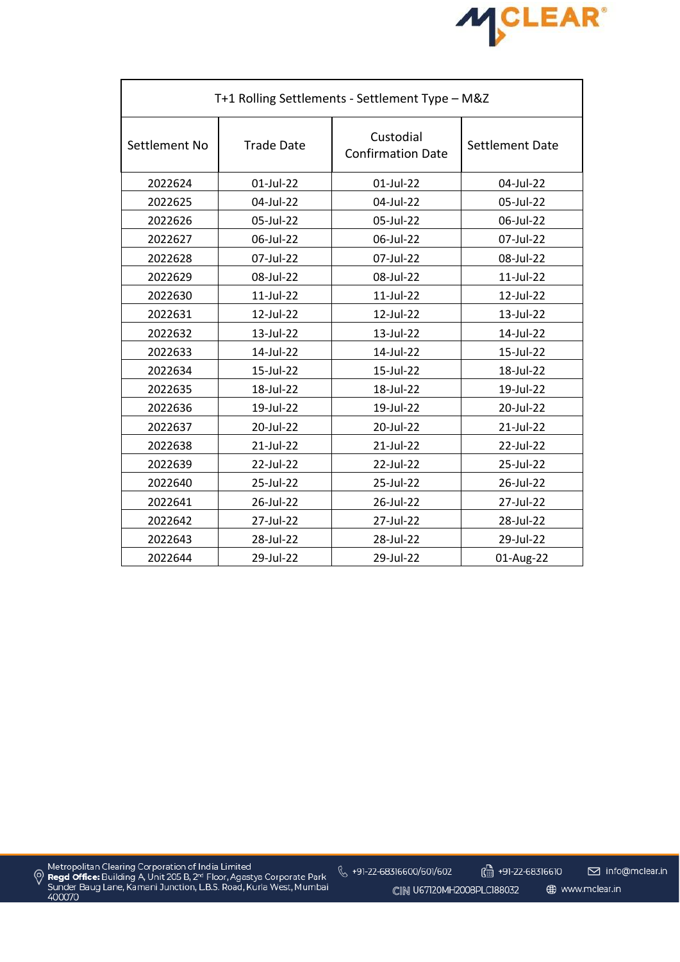

| T+1 Rolling Settlements - Settlement Type - M&Z |                   |                                       |                 |  |  |
|-------------------------------------------------|-------------------|---------------------------------------|-----------------|--|--|
| Settlement No                                   | <b>Trade Date</b> | Custodial<br><b>Confirmation Date</b> | Settlement Date |  |  |
| 2022624                                         | 01-Jul-22         | 01-Jul-22                             | 04-Jul-22       |  |  |
| 2022625                                         | 04-Jul-22         | 04-Jul-22                             | 05-Jul-22       |  |  |
| 2022626                                         | 05-Jul-22         | 05-Jul-22                             | 06-Jul-22       |  |  |
| 2022627                                         | 06-Jul-22         | 06-Jul-22                             | 07-Jul-22       |  |  |
| 2022628                                         | 07-Jul-22         | 07-Jul-22                             | 08-Jul-22       |  |  |
| 2022629                                         | 08-Jul-22         | 08-Jul-22                             | 11-Jul-22       |  |  |
| 2022630                                         | 11-Jul-22         | 11-Jul-22                             | 12-Jul-22       |  |  |
| 2022631                                         | 12-Jul-22         | 12-Jul-22                             | 13-Jul-22       |  |  |
| 2022632                                         | 13-Jul-22         | 13-Jul-22                             | 14-Jul-22       |  |  |
| 2022633                                         | 14-Jul-22         | 14-Jul-22                             | 15-Jul-22       |  |  |
| 2022634                                         | 15-Jul-22         | 15-Jul-22                             | 18-Jul-22       |  |  |
| 2022635                                         | 18-Jul-22         | 18-Jul-22                             | 19-Jul-22       |  |  |
| 2022636                                         | 19-Jul-22         | 19-Jul-22                             | 20-Jul-22       |  |  |
| 2022637                                         | 20-Jul-22         | 20-Jul-22                             | 21-Jul-22       |  |  |
| 2022638                                         | 21-Jul-22         | 21-Jul-22                             | 22-Jul-22       |  |  |
| 2022639                                         | 22-Jul-22         | 22-Jul-22                             | 25-Jul-22       |  |  |
| 2022640                                         | 25-Jul-22         | 25-Jul-22                             | 26-Jul-22       |  |  |
| 2022641                                         | 26-Jul-22         | 26-Jul-22                             | 27-Jul-22       |  |  |
| 2022642                                         | 27-Jul-22         | 27-Jul-22                             | 28-Jul-22       |  |  |
| 2022643                                         | 28-Jul-22         | 28-Jul-22                             | 29-Jul-22       |  |  |
| 2022644                                         | 29-Jul-22         | 29-Jul-22                             | 01-Aug-22       |  |  |